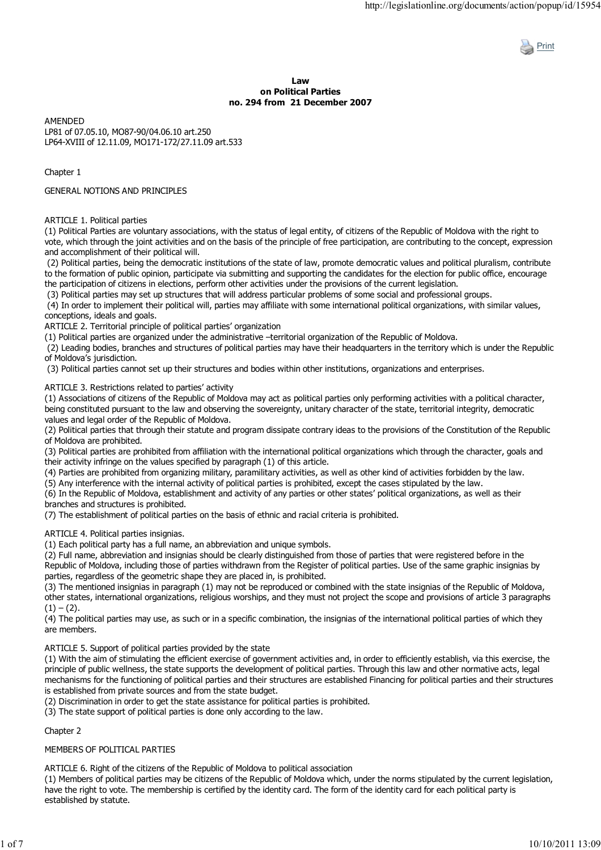

#### **Law on Political Parties no. 294 from 21 December 2007**

AMENDED LP81 of 07.05.10, MO87-90/04.06.10 art.250 LP64-XVIII of 12.11.09, MO171-172/27.11.09 art.533

Chapter 1

## GENERAL NOTIONS AND PRINCIPLES

ARTICLE 1. Political parties

(1) Political Parties are voluntary associations, with the status of legal entity, of citizens of the Republic of Moldova with the right to vote, which through the joint activities and on the basis of the principle of free participation, are contributing to the concept, expression and accomplishment of their political will.

 (2) Political parties, being the democratic institutions of the state of law, promote democratic values and political pluralism, contribute to the formation of public opinion, participate via submitting and supporting the candidates for the election for public office, encourage the participation of citizens in elections, perform other activities under the provisions of the current legislation.

(3) Political parties may set up structures that will address particular problems of some social and professional groups.

 (4) In order to implement their political will, parties may affiliate with some international political organizations, with similar values, conceptions, ideals and goals.

ARTICLE 2. Territorial principle of political parties' organization

(1) Political parties are organized under the administrative –territorial organization of the Republic of Moldova.

 (2) Leading bodies, branches and structures of political parties may have their headquarters in the territory which is under the Republic of Moldova's jurisdiction.

(3) Political parties cannot set up their structures and bodies within other institutions, organizations and enterprises.

ARTICLE 3. Restrictions related to parties' activity

(1) Associations of citizens of the Republic of Moldova may act as political parties only performing activities with a political character, being constituted pursuant to the law and observing the sovereignty, unitary character of the state, territorial integrity, democratic values and legal order of the Republic of Moldova.

(2) Political parties that through their statute and program dissipate contrary ideas to the provisions of the Constitution of the Republic of Moldova are prohibited.

(3) Political parties are prohibited from affiliation with the international political organizations which through the character, goals and their activity infringe on the values specified by paragraph (1) of this article.

(4) Parties are prohibited from organizing military, paramilitary activities, as well as other kind of activities forbidden by the law.

(5) Any interference with the internal activity of political parties is prohibited, except the cases stipulated by the law.

(6) In the Republic of Moldova, establishment and activity of any parties or other states' political organizations, as well as their branches and structures is prohibited.

(7) The establishment of political parties on the basis of ethnic and racial criteria is prohibited.

ARTICLE 4. Political parties insignias.

(1) Each political party has a full name, an abbreviation and unique symbols.

(2) Full name, abbreviation and insignias should be clearly distinguished from those of parties that were registered before in the Republic of Moldova, including those of parties withdrawn from the Register of political parties. Use of the same graphic insignias by parties, regardless of the geometric shape they are placed in, is prohibited.

(3) The mentioned insignias in paragraph (1) may not be reproduced or combined with the state insignias of the Republic of Moldova, other states, international organizations, religious worships, and they must not project the scope and provisions of article 3 paragraphs  $(1) - (2)$ .

(4) The political parties may use, as such or in a specific combination, the insignias of the international political parties of which they are members.

ARTICLE 5. Support of political parties provided by the state

(1) With the aim of stimulating the efficient exercise of government activities and, in order to efficiently establish, via this exercise, the principle of public wellness, the state supports the development of political parties. Through this law and other normative acts, legal mechanisms for the functioning of political parties and their structures are established Financing for political parties and their structures is established from private sources and from the state budget.

(2) Discrimination in order to get the state assistance for political parties is prohibited.

(3) The state support of political parties is done only according to the law.

# Chapter 2

# MEMBERS OF POLITICAL PARTIES

ARTICLE 6. Right of the citizens of the Republic of Moldova to political association

(1) Members of political parties may be citizens of the Republic of Moldova which, under the norms stipulated by the current legislation, have the right to vote. The membership is certified by the identity card. The form of the identity card for each political party is established by statute.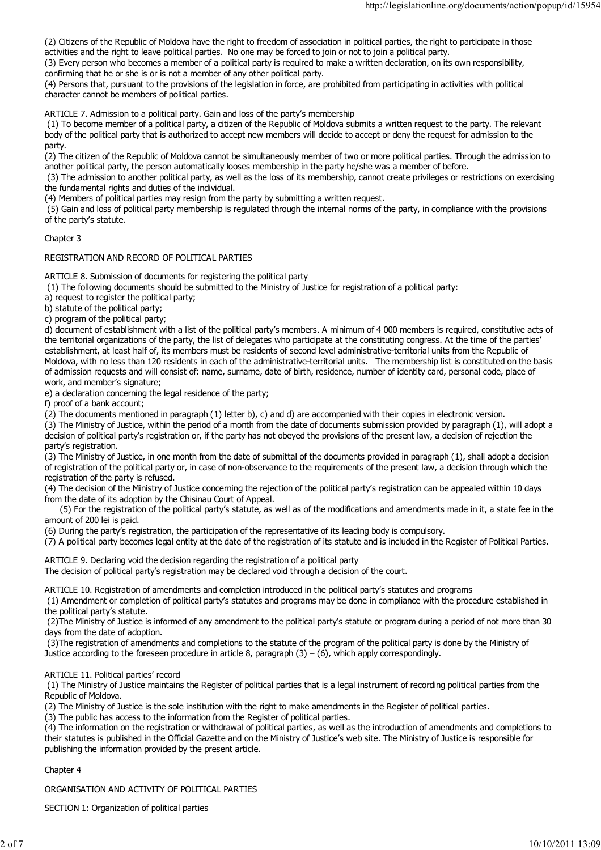(2) Citizens of the Republic of Moldova have the right to freedom of association in political parties, the right to participate in those activities and the right to leave political parties. No one may be forced to join or not to join a political party.

(3) Every person who becomes a member of a political party is required to make a written declaration, on its own responsibility, confirming that he or she is or is not a member of any other political party.

(4) Persons that, pursuant to the provisions of the legislation in force, are prohibited from participating in activities with political character cannot be members of political parties.

ARTICLE 7. Admission to a political party. Gain and loss of the party's membership

 (1) To become member of a political party, a citizen of the Republic of Moldova submits a written request to the party. The relevant body of the political party that is authorized to accept new members will decide to accept or deny the request for admission to the party.

(2) The citizen of the Republic of Moldova cannot be simultaneously member of two or more political parties. Through the admission to another political party, the person automatically looses membership in the party he/she was a member of before.

 (3) The admission to another political party, as well as the loss of its membership, cannot create privileges or restrictions on exercising the fundamental rights and duties of the individual.

(4) Members of political parties may resign from the party by submitting a written request.

 (5) Gain and loss of political party membership is regulated through the internal norms of the party, in compliance with the provisions of the party's statute.

Chapter 3

REGISTRATION AND RECORD OF POLITICAL PARTIES

ARTICLE 8. Submission of documents for registering the political party

(1) The following documents should be submitted to the Ministry of Justice for registration of a political party:

a) request to register the political party;

b) statute of the political party;

c) program of the political party;

d) document of establishment with a list of the political party's members. A minimum of 4 000 members is required, constitutive acts of the territorial organizations of the party, the list of delegates who participate at the constituting congress. At the time of the parties' establishment, at least half of, its members must be residents of second level administrative-territorial units from the Republic of Moldova, with no less than 120 residents in each of the administrative-territorial units. The membership list is constituted on the basis of admission requests and will consist of: name, surname, date of birth, residence, number of identity card, personal code, place of work, and member's signature;

e) a declaration concerning the legal residence of the party;

f) proof of a bank account;

(2) The documents mentioned in paragraph (1) letter b), c) and d) are accompanied with their copies in electronic version.

(3) The Ministry of Justice, within the period of a month from the date of documents submission provided by paragraph (1), will adopt a decision of political party's registration or, if the party has not obeyed the provisions of the present law, a decision of rejection the party's registration.

(3) The Ministry of Justice, in one month from the date of submittal of the documents provided in paragraph (1), shall adopt a decision of registration of the political party or, in case of non-observance to the requirements of the present law, a decision through which the registration of the party is refused.

(4) The decision of the Ministry of Justice concerning the rejection of the political party's registration can be appealed within 10 days from the date of its adoption by the Chisinau Court of Appeal.

 (5) For the registration of the political party's statute, as well as of the modifications and amendments made in it, a state fee in the amount of 200 lei is paid.

(6) During the party's registration, the participation of the representative of its leading body is compulsory.

(7) A political party becomes legal entity at the date of the registration of its statute and is included in the Register of Political Parties.

ARTICLE 9. Declaring void the decision regarding the registration of a political party The decision of political party's registration may be declared void through a decision of the court.

ARTICLE 10. Registration of amendments and completion introduced in the political party's statutes and programs

 (1) Amendment or completion of political party's statutes and programs may be done in compliance with the procedure established in the political party's statute.

 (2)The Ministry of Justice is informed of any amendment to the political party's statute or program during a period of not more than 30 days from the date of adoption.

 (3)The registration of amendments and completions to the statute of the program of the political party is done by the Ministry of Justice according to the foreseen procedure in article 8, paragraph  $(3) - (6)$ , which apply correspondingly.

ARTICLE 11. Political parties' record

 (1) The Ministry of Justice maintains the Register of political parties that is a legal instrument of recording political parties from the Republic of Moldova.

(2) The Ministry of Justice is the sole institution with the right to make amendments in the Register of political parties.

(3) The public has access to the information from the Register of political parties.

(4) The information on the registration or withdrawal of political parties, as well as the introduction of amendments and completions to their statutes is published in the Official Gazette and on the Ministry of Justice's web site. The Ministry of Justice is responsible for publishing the information provided by the present article.

# Chapter 4

ORGANISATION AND ACTIVITY OF POLITICAL PARTIES

SECTION 1: Organization of political parties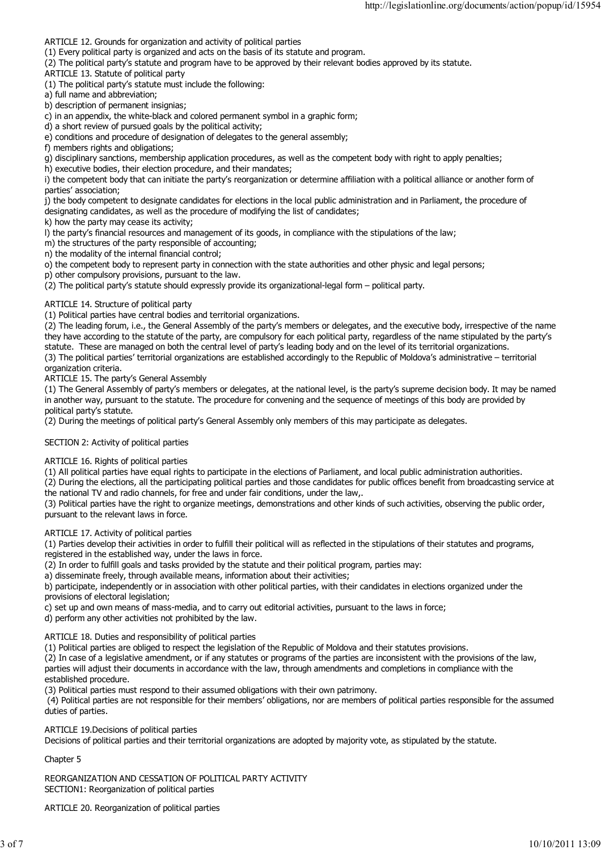ARTICLE 12. Grounds for organization and activity of political parties

(1) Every political party is organized and acts on the basis of its statute and program.

(2) The political party's statute and program have to be approved by their relevant bodies approved by its statute.

ARTICLE 13. Statute of political party

(1) The political party's statute must include the following:

a) full name and abbreviation;

b) description of permanent insignias;

c) in an appendix, the white-black and colored permanent symbol in a graphic form;

d) a short review of pursued goals by the political activity;

e) conditions and procedure of designation of delegates to the general assembly;

f) members rights and obligations:

g) disciplinary sanctions, membership application procedures, as well as the competent body with right to apply penalties;

h) executive bodies, their election procedure, and their mandates;

i) the competent body that can initiate the party's reorganization or determine affiliation with a political alliance or another form of parties' association;

j) the body competent to designate candidates for elections in the local public administration and in Parliament, the procedure of

designating candidates, as well as the procedure of modifying the list of candidates;

k) how the party may cease its activity;

l) the party's financial resources and management of its goods, in compliance with the stipulations of the law;

m) the structures of the party responsible of accounting;

n) the modality of the internal financial control;

o) the competent body to represent party in connection with the state authorities and other physic and legal persons;

p) other compulsory provisions, pursuant to the law.

(2) The political party's statute should expressly provide its organizational-legal form – political party.

ARTICLE 14. Structure of political party

(1) Political parties have central bodies and territorial organizations.

(2) The leading forum, i.e., the General Assembly of the party's members or delegates, and the executive body, irrespective of the name they have according to the statute of the party, are compulsory for each political party, regardless of the name stipulated by the party's statute. These are managed on both the central level of party's leading body and on the level of its territorial organizations.

(3) The political parties' territorial organizations are established accordingly to the Republic of Moldova's administrative – territorial organization criteria.

ARTICLE 15. The party's General Assembly

(1) The General Assembly of party's members or delegates, at the national level, is the party's supreme decision body. It may be named in another way, pursuant to the statute. The procedure for convening and the sequence of meetings of this body are provided by political party's statute.

(2) During the meetings of political party's General Assembly only members of this may participate as delegates.

#### SECTION 2: Activity of political parties

ARTICLE 16. Rights of political parties

(1) All political parties have equal rights to participate in the elections of Parliament, and local public administration authorities.

(2) During the elections, all the participating political parties and those candidates for public offices benefit from broadcasting service at the national TV and radio channels, for free and under fair conditions, under the law,.

(3) Political parties have the right to organize meetings, demonstrations and other kinds of such activities, observing the public order, pursuant to the relevant laws in force.

ARTICLE 17. Activity of political parties

(1) Parties develop their activities in order to fulfill their political will as reflected in the stipulations of their statutes and programs, registered in the established way, under the laws in force.

(2) In order to fulfill goals and tasks provided by the statute and their political program, parties may:

a) disseminate freely, through available means, information about their activities;

b) participate, independently or in association with other political parties, with their candidates in elections organized under the provisions of electoral legislation;

c) set up and own means of mass-media, and to carry out editorial activities, pursuant to the laws in force;

d) perform any other activities not prohibited by the law.

ARTICLE 18. Duties and responsibility of political parties

(1) Political parties are obliged to respect the legislation of the Republic of Moldova and their statutes provisions.

(2) In case of a legislative amendment, or if any statutes or programs of the parties are inconsistent with the provisions of the law, parties will adjust their documents in accordance with the law, through amendments and completions in compliance with the

established procedure.

(3) Political parties must respond to their assumed obligations with their own patrimony.

 (4) Political parties are not responsible for their members' obligations, nor are members of political parties responsible for the assumed duties of parties.

ARTICLE 19.Decisions of political parties

Decisions of political parties and their territorial organizations are adopted by majority vote, as stipulated by the statute.

Chapter 5

REORGANIZATION AND CESSATION OF POLITICAL PARTY ACTIVITY SECTION1: Reorganization of political parties

ARTICLE 20. Reorganization of political parties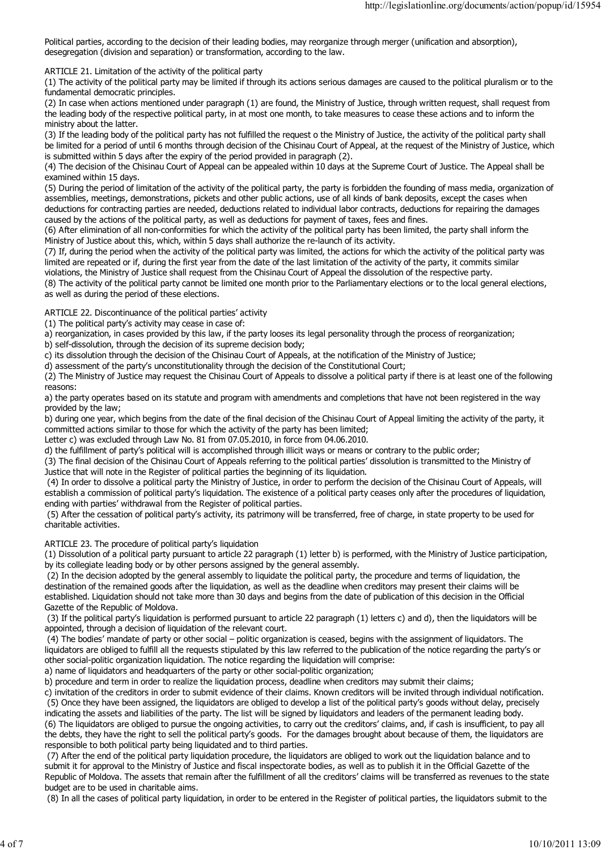Political parties, according to the decision of their leading bodies, may reorganize through merger (unification and absorption), desegregation (division and separation) or transformation, according to the law.

ARTICLE 21. Limitation of the activity of the political party

(1) The activity of the political party may be limited if through its actions serious damages are caused to the political pluralism or to the fundamental democratic principles.

(2) In case when actions mentioned under paragraph (1) are found, the Ministry of Justice, through written request, shall request from the leading body of the respective political party, in at most one month, to take measures to cease these actions and to inform the ministry about the latter.

(3) If the leading body of the political party has not fulfilled the request o the Ministry of Justice, the activity of the political party shall be limited for a period of until 6 months through decision of the Chisinau Court of Appeal, at the request of the Ministry of Justice, which is submitted within 5 days after the expiry of the period provided in paragraph (2).

(4) The decision of the Chisinau Court of Appeal can be appealed within 10 days at the Supreme Court of Justice. The Appeal shall be examined within 15 days.

(5) During the period of limitation of the activity of the political party, the party is forbidden the founding of mass media, organization of assemblies, meetings, demonstrations, pickets and other public actions, use of all kinds of bank deposits, except the cases when deductions for contracting parties are needed, deductions related to individual labor contracts, deductions for repairing the damages caused by the actions of the political party, as well as deductions for payment of taxes, fees and fines.

(6) After elimination of all non-conformities for which the activity of the political party has been limited, the party shall inform the Ministry of Justice about this, which, within 5 days shall authorize the re-launch of its activity.

(7) If, during the period when the activity of the political party was limited, the actions for which the activity of the political party was limited are repeated or if, during the first year from the date of the last limitation of the activity of the party, it commits similar violations, the Ministry of Justice shall request from the Chisinau Court of Appeal the dissolution of the respective party.

(8) The activity of the political party cannot be limited one month prior to the Parliamentary elections or to the local general elections, as well as during the period of these elections.

ARTICLE 22. Discontinuance of the political parties' activity

(1) The political party's activity may cease in case of:

a) reorganization, in cases provided by this law, if the party looses its legal personality through the process of reorganization;

b) self-dissolution, through the decision of its supreme decision body;

c) its dissolution through the decision of the Chisinau Court of Appeals, at the notification of the Ministry of Justice;

d) assessment of the party's unconstitutionality through the decision of the Constitutional Court;

(2) The Ministry of Justice may request the Chisinau Court of Appeals to dissolve a political party if there is at least one of the following reasons:

a) the party operates based on its statute and program with amendments and completions that have not been registered in the way provided by the law;

b) during one year, which begins from the date of the final decision of the Chisinau Court of Appeal limiting the activity of the party, it committed actions similar to those for which the activity of the party has been limited;

Letter c) was excluded through Law No. 81 from 07.05.2010, in force from 04.06.2010.

d) the fulfillment of party's political will is accomplished through illicit ways or means or contrary to the public order;

(3) The final decision of the Chisinau Court of Appeals referring to the political parties' dissolution is transmitted to the Ministry of Justice that will note in the Register of political parties the beginning of its liquidation.

 (4) In order to dissolve a political party the Ministry of Justice, in order to perform the decision of the Chisinau Court of Appeals, will establish a commission of political party's liquidation. The existence of a political party ceases only after the procedures of liquidation, ending with parties' withdrawal from the Register of political parties.

 (5) After the cessation of political party's activity, its patrimony will be transferred, free of charge, in state property to be used for charitable activities.

#### ARTICLE 23. The procedure of political party's liquidation

(1) Dissolution of a political party pursuant to article 22 paragraph (1) letter b) is performed, with the Ministry of Justice participation, by its collegiate leading body or by other persons assigned by the general assembly.

 (2) In the decision adopted by the general assembly to liquidate the political party, the procedure and terms of liquidation, the destination of the remained goods after the liquidation, as well as the deadline when creditors may present their claims will be established. Liquidation should not take more than 30 days and begins from the date of publication of this decision in the Official Gazette of the Republic of Moldova.

 (3) If the political party's liquidation is performed pursuant to article 22 paragraph (1) letters c) and d), then the liquidators will be appointed, through a decision of liquidation of the relevant court.

 (4) The bodies' mandate of party or other social – politic organization is ceased, begins with the assignment of liquidators. The liquidators are obliged to fulfill all the requests stipulated by this law referred to the publication of the notice regarding the party's or other social-politic organization liquidation. The notice regarding the liquidation will comprise:

a) name of liquidators and headquarters of the party or other social-politic organization;

b) procedure and term in order to realize the liquidation process, deadline when creditors may submit their claims;

c) invitation of the creditors in order to submit evidence of their claims. Known creditors will be invited through individual notification. (5) Once they have been assigned, the liquidators are obliged to develop a list of the political party's goods without delay, precisely

indicating the assets and liabilities of the party. The list will be signed by liquidators and leaders of the permanent leading body. (6) The liquidators are obliged to pursue the ongoing activities, to carry out the creditors' claims, and, if cash is insufficient, to pay all the debts, they have the right to sell the political party's goods. For the damages brought about because of them, the liquidators are responsible to both political party being liquidated and to third parties.

 (7) After the end of the political party liquidation procedure, the liquidators are obliged to work out the liquidation balance and to submit it for approval to the Ministry of Justice and fiscal inspectorate bodies, as well as to publish it in the Official Gazette of the Republic of Moldova. The assets that remain after the fulfillment of all the creditors' claims will be transferred as revenues to the state budget are to be used in charitable aims.

(8) In all the cases of political party liquidation, in order to be entered in the Register of political parties, the liquidators submit to the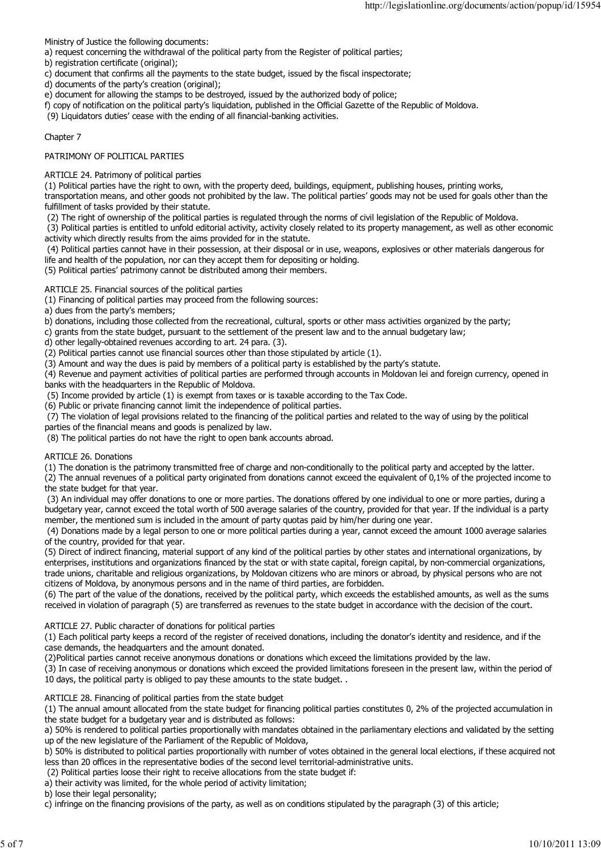Ministry of Justice the following documents:

- a) request concerning the withdrawal of the political party from the Register of political parties;
- b) registration certificate (original);
- c) document that confirms all the payments to the state budget, issued by the fiscal inspectorate;
- d) documents of the party's creation (original);
- e) document for allowing the stamps to be destroyed, issued by the authorized body of police;
- f) copy of notification on the political party's liquidation, published in the Official Gazette of the Republic of Moldova.

(9) Liquidators duties' cease with the ending of all financial-banking activities.

### Chapter 7

## PATRIMONY OF POLITICAL PARTIES

ARTICLE 24. Patrimony of political parties

(1) Political parties have the right to own, with the property deed, buildings, equipment, publishing houses, printing works,

transportation means, and other goods not prohibited by the law. The political parties' goods may not be used for goals other than the fulfillment of tasks provided by their statute.

(2) The right of ownership of the political parties is regulated through the norms of civil legislation of the Republic of Moldova.

 (3) Political parties is entitled to unfold editorial activity, activity closely related to its property management, as well as other economic activity which directly results from the aims provided for in the statute.

 (4) Political parties cannot have in their possession, at their disposal or in use, weapons, explosives or other materials dangerous for life and health of the population, nor can they accept them for depositing or holding.

(5) Political parties' patrimony cannot be distributed among their members.

## ARTICLE 25. Financial sources of the political parties

(1) Financing of political parties may proceed from the following sources:

a) dues from the party's members;

b) donations, including those collected from the recreational, cultural, sports or other mass activities organized by the party;

c) grants from the state budget, pursuant to the settlement of the present law and to the annual budgetary law;

- d) other legally-obtained revenues according to art. 24 para. (3).
- (2) Political parties cannot use financial sources other than those stipulated by article (1).

(3) Amount and way the dues is paid by members of a political party is established by the party's statute.

(4) Revenue and payment activities of political parties are performed through accounts in Moldovan lei and foreign currency, opened in banks with the headquarters in the Republic of Moldova.

(5) Income provided by article (1) is exempt from taxes or is taxable according to the Tax Code.

(6) Public or private financing cannot limit the independence of political parties.

 (7) The violation of legal provisions related to the financing of the political parties and related to the way of using by the political parties of the financial means and goods is penalized by law.

(8) The political parties do not have the right to open bank accounts abroad.

#### ARTICLE 26. Donations

(1) The donation is the patrimony transmitted free of charge and non-conditionally to the political party and accepted by the latter.

(2) The annual revenues of a political party originated from donations cannot exceed the equivalent of 0,1% of the projected income to the state budget for that year.

 (3) An individual may offer donations to one or more parties. The donations offered by one individual to one or more parties, during a budgetary year, cannot exceed the total worth of 500 average salaries of the country, provided for that year. If the individual is a party member, the mentioned sum is included in the amount of party quotas paid by him/her during one year.

 (4) Donations made by a legal person to one or more political parties during a year, cannot exceed the amount 1000 average salaries of the country, provided for that year.

(5) Direct of indirect financing, material support of any kind of the political parties by other states and international organizations, by enterprises, institutions and organizations financed by the stat or with state capital, foreign capital, by non-commercial organizations, trade unions, charitable and religious organizations, by Moldovan citizens who are minors or abroad, by physical persons who are not citizens of Moldova, by anonymous persons and in the name of third parties, are forbidden.

(6) The part of the value of the donations, received by the political party, which exceeds the established amounts, as well as the sums received in violation of paragraph (5) are transferred as revenues to the state budget in accordance with the decision of the court.

# ARTICLE 27. Public character of donations for political parties

(1) Each political party keeps a record of the register of received donations, including the donator's identity and residence, and if the case demands, the headquarters and the amount donated.

(2)Political parties cannot receive anonymous donations or donations which exceed the limitations provided by the law.

(3) In case of receiving anonymous or donations which exceed the provided limitations foreseen in the present law, within the period of 10 days, the political party is obliged to pay these amounts to the state budget. .

# ARTICLE 28. Financing of political parties from the state budget

(1) The annual amount allocated from the state budget for financing political parties constitutes 0, 2% of the projected accumulation in the state budget for a budgetary year and is distributed as follows:

a) 50% is rendered to political parties proportionally with mandates obtained in the parliamentary elections and validated by the setting up of the new legislature of the Parliament of the Republic of Moldova,

b) 50% is distributed to political parties proportionally with number of votes obtained in the general local elections, if these acquired not less than 20 offices in the representative bodies of the second level territorial-administrative units.

(2) Political parties loose their right to receive allocations from the state budget if:

a) their activity was limited, for the whole period of activity limitation;

b) lose their legal personality;

c) infringe on the financing provisions of the party, as well as on conditions stipulated by the paragraph (3) of this article;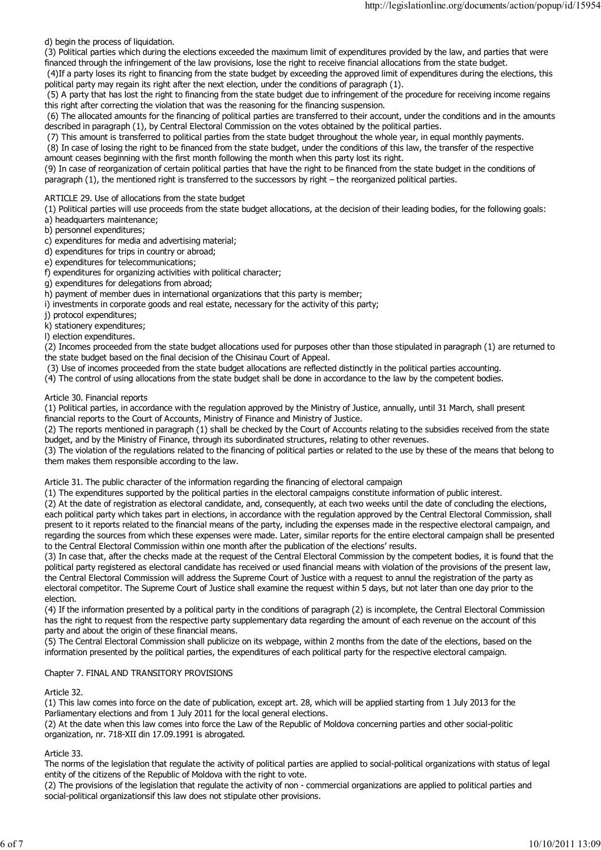d) begin the process of liquidation.

(3) Political parties which during the elections exceeded the maximum limit of expenditures provided by the law, and parties that were financed through the infringement of the law provisions, lose the right to receive financial allocations from the state budget.

 (4)If a party loses its right to financing from the state budget by exceeding the approved limit of expenditures during the elections, this political party may regain its right after the next election, under the conditions of paragraph (1).

 (5) A party that has lost the right to financing from the state budget due to infringement of the procedure for receiving income regains this right after correcting the violation that was the reasoning for the financing suspension.

 (6) The allocated amounts for the financing of political parties are transferred to their account, under the conditions and in the amounts described in paragraph (1), by Central Electoral Commission on the votes obtained by the political parties.

(7) This amount is transferred to political parties from the state budget throughout the whole year, in equal monthly payments.

 (8) In case of losing the right to be financed from the state budget, under the conditions of this law, the transfer of the respective amount ceases beginning with the first month following the month when this party lost its right.

(9) In case of reorganization of certain political parties that have the right to be financed from the state budget in the conditions of paragraph (1), the mentioned right is transferred to the successors by right – the reorganized political parties.

ARTICLE 29. Use of allocations from the state budget

(1) Political parties will use proceeds from the state budget allocations, at the decision of their leading bodies, for the following goals:

- a) headquarters maintenance;
- b) personnel expenditures;
- c) expenditures for media and advertising material;
- d) expenditures for trips in country or abroad;
- e) expenditures for telecommunications;
- f) expenditures for organizing activities with political character;
- g) expenditures for delegations from abroad;
- h) payment of member dues in international organizations that this party is member;
- i) investments in corporate goods and real estate, necessary for the activity of this party;
- j) protocol expenditures;

k) stationery expenditures;

l) election expenditures.

(2) Incomes proceeded from the state budget allocations used for purposes other than those stipulated in paragraph (1) are returned to the state budget based on the final decision of the Chisinau Court of Appeal.

(3) Use of incomes proceeded from the state budget allocations are reflected distinctly in the political parties accounting.

(4) The control of using allocations from the state budget shall be done in accordance to the law by the competent bodies.

### Article 30. Financial reports

(1) Political parties, in accordance with the regulation approved by the Ministry of Justice, annually, until 31 March, shall present financial reports to the Court of Accounts, Ministry of Finance and Ministry of Justice.

(2) The reports mentioned in paragraph (1) shall be checked by the Court of Accounts relating to the subsidies received from the state budget, and by the Ministry of Finance, through its subordinated structures, relating to other revenues.

(3) The violation of the regulations related to the financing of political parties or related to the use by these of the means that belong to them makes them responsible according to the law.

Article 31. The public character of the information regarding the financing of electoral campaign

(1) The expenditures supported by the political parties in the electoral campaigns constitute information of public interest.

(2) At the date of registration as electoral candidate, and, consequently, at each two weeks until the date of concluding the elections, each political party which takes part in elections, in accordance with the regulation approved by the Central Electoral Commission, shall present to it reports related to the financial means of the party, including the expenses made in the respective electoral campaign, and regarding the sources from which these expenses were made. Later, similar reports for the entire electoral campaign shall be presented to the Central Electoral Commission within one month after the publication of the elections' results.

(3) In case that, after the checks made at the request of the Central Electoral Commission by the competent bodies, it is found that the political party registered as electoral candidate has received or used financial means with violation of the provisions of the present law, the Central Electoral Commission will address the Supreme Court of Justice with a request to annul the registration of the party as electoral competitor. The Supreme Court of Justice shall examine the request within 5 days, but not later than one day prior to the election.

(4) If the information presented by a political party in the conditions of paragraph (2) is incomplete, the Central Electoral Commission has the right to request from the respective party supplementary data regarding the amount of each revenue on the account of this party and about the origin of these financial means.

(5) The Central Electoral Commission shall publicize on its webpage, within 2 months from the date of the elections, based on the information presented by the political parties, the expenditures of each political party for the respective electoral campaign.

# Chapter 7. FINAL AND TRANSITORY PROVISIONS

Article 32.

(1) This law comes into force on the date of publication, except art. 28, which will be applied starting from 1 July 2013 for the Parliamentary elections and from 1 July 2011 for the local general elections.

(2) At the date when this law comes into force the Law of the Republic of Moldova concerning parties and other social-politic organization, nr. 718-XII din 17.09.1991 is abrogated.

#### Article 33.

The norms of the legislation that regulate the activity of political parties are applied to social-political organizations with status of legal entity of the citizens of the Republic of Moldova with the right to vote.

(2) The provisions of the legislation that regulate the activity of non - commercial organizations are applied to political parties and social-political organizationsif this law does not stipulate other provisions.